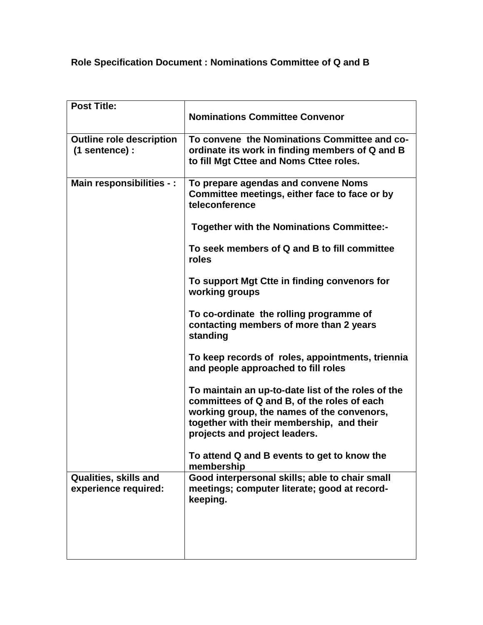## **Role Specification Document : Nominations Committee of Q and B**

| <b>Post Title:</b>                                |                                                                                                                                                                                                                               |
|---------------------------------------------------|-------------------------------------------------------------------------------------------------------------------------------------------------------------------------------------------------------------------------------|
|                                                   | <b>Nominations Committee Convenor</b>                                                                                                                                                                                         |
| <b>Outline role description</b><br>(1 sentence) : | To convene the Nominations Committee and co-<br>ordinate its work in finding members of Q and B<br>to fill Mgt Cttee and Noms Cttee roles.                                                                                    |
| Main responsibilities - :                         | To prepare agendas and convene Noms<br>Committee meetings, either face to face or by<br>teleconference                                                                                                                        |
|                                                   | <b>Together with the Nominations Committee:-</b>                                                                                                                                                                              |
|                                                   | To seek members of Q and B to fill committee<br>roles                                                                                                                                                                         |
|                                                   | To support Mgt Ctte in finding convenors for<br>working groups                                                                                                                                                                |
|                                                   | To co-ordinate the rolling programme of<br>contacting members of more than 2 years<br>standing                                                                                                                                |
|                                                   | To keep records of roles, appointments, triennia<br>and people approached to fill roles                                                                                                                                       |
|                                                   | To maintain an up-to-date list of the roles of the<br>committees of Q and B, of the roles of each<br>working group, the names of the convenors,<br>together with their membership, and their<br>projects and project leaders. |
|                                                   | To attend Q and B events to get to know the<br>membership                                                                                                                                                                     |
| Qualities, skills and<br>experience required:     | Good interpersonal skills; able to chair small<br>meetings; computer literate; good at record-<br>keeping.                                                                                                                    |
|                                                   |                                                                                                                                                                                                                               |
|                                                   |                                                                                                                                                                                                                               |